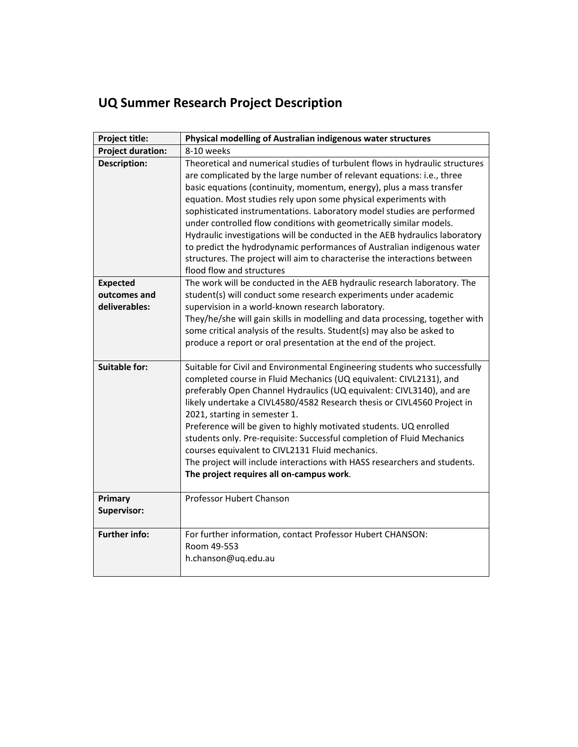| Project title:                | Physical modelling of Australian indigenous water structures                                                                                                                                                                                                                                                                                                                                                                                                                                                                                                                                                                                                                                                           |
|-------------------------------|------------------------------------------------------------------------------------------------------------------------------------------------------------------------------------------------------------------------------------------------------------------------------------------------------------------------------------------------------------------------------------------------------------------------------------------------------------------------------------------------------------------------------------------------------------------------------------------------------------------------------------------------------------------------------------------------------------------------|
| <b>Project duration:</b>      | 8-10 weeks                                                                                                                                                                                                                                                                                                                                                                                                                                                                                                                                                                                                                                                                                                             |
| <b>Description:</b>           | Theoretical and numerical studies of turbulent flows in hydraulic structures<br>are complicated by the large number of relevant equations: i.e., three<br>basic equations (continuity, momentum, energy), plus a mass transfer<br>equation. Most studies rely upon some physical experiments with<br>sophisticated instrumentations. Laboratory model studies are performed<br>under controlled flow conditions with geometrically similar models.<br>Hydraulic investigations will be conducted in the AEB hydraulics laboratory<br>to predict the hydrodynamic performances of Australian indigenous water<br>structures. The project will aim to characterise the interactions between<br>flood flow and structures |
| <b>Expected</b>               | The work will be conducted in the AEB hydraulic research laboratory. The                                                                                                                                                                                                                                                                                                                                                                                                                                                                                                                                                                                                                                               |
| outcomes and<br>deliverables: | student(s) will conduct some research experiments under academic<br>supervision in a world-known research laboratory.                                                                                                                                                                                                                                                                                                                                                                                                                                                                                                                                                                                                  |
|                               | They/he/she will gain skills in modelling and data processing, together with<br>some critical analysis of the results. Student(s) may also be asked to<br>produce a report or oral presentation at the end of the project.                                                                                                                                                                                                                                                                                                                                                                                                                                                                                             |
| <b>Suitable for:</b>          | Suitable for Civil and Environmental Engineering students who successfully<br>completed course in Fluid Mechanics (UQ equivalent: CIVL2131), and<br>preferably Open Channel Hydraulics (UQ equivalent: CIVL3140), and are<br>likely undertake a CIVL4580/4582 Research thesis or CIVL4560 Project in<br>2021, starting in semester 1.<br>Preference will be given to highly motivated students. UQ enrolled<br>students only. Pre-requisite: Successful completion of Fluid Mechanics<br>courses equivalent to CIVL2131 Fluid mechanics.<br>The project will include interactions with HASS researchers and students.<br>The project requires all on-campus work.                                                      |
| Primary<br>Supervisor:        | Professor Hubert Chanson                                                                                                                                                                                                                                                                                                                                                                                                                                                                                                                                                                                                                                                                                               |
| <b>Further info:</b>          | For further information, contact Professor Hubert CHANSON:<br>Room 49-553<br>h.chanson@uq.edu.au                                                                                                                                                                                                                                                                                                                                                                                                                                                                                                                                                                                                                       |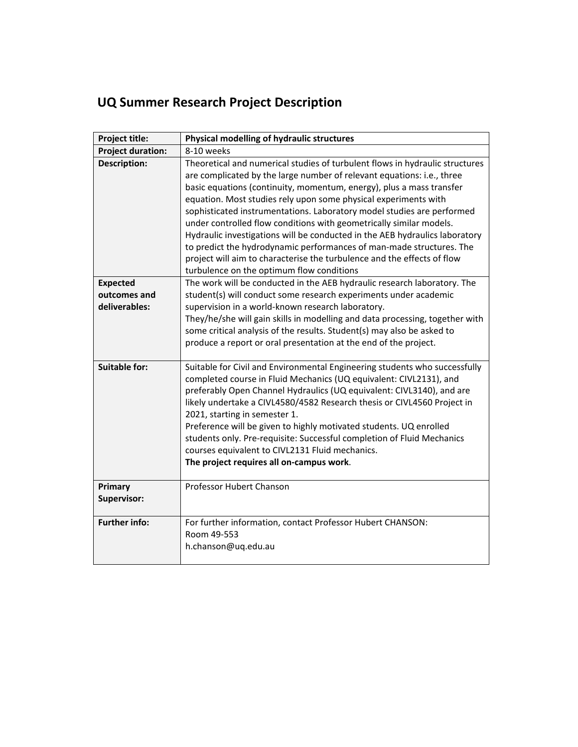| Project title:                                   | Physical modelling of hydraulic structures                                                                                                                                                                                                                                                                                                                                                                                                                                                                                                                                                                                                                                                                                        |
|--------------------------------------------------|-----------------------------------------------------------------------------------------------------------------------------------------------------------------------------------------------------------------------------------------------------------------------------------------------------------------------------------------------------------------------------------------------------------------------------------------------------------------------------------------------------------------------------------------------------------------------------------------------------------------------------------------------------------------------------------------------------------------------------------|
| <b>Project duration:</b>                         | 8-10 weeks                                                                                                                                                                                                                                                                                                                                                                                                                                                                                                                                                                                                                                                                                                                        |
| <b>Description:</b>                              | Theoretical and numerical studies of turbulent flows in hydraulic structures<br>are complicated by the large number of relevant equations: i.e., three<br>basic equations (continuity, momentum, energy), plus a mass transfer<br>equation. Most studies rely upon some physical experiments with<br>sophisticated instrumentations. Laboratory model studies are performed<br>under controlled flow conditions with geometrically similar models.<br>Hydraulic investigations will be conducted in the AEB hydraulics laboratory<br>to predict the hydrodynamic performances of man-made structures. The<br>project will aim to characterise the turbulence and the effects of flow<br>turbulence on the optimum flow conditions |
| <b>Expected</b><br>outcomes and<br>deliverables: | The work will be conducted in the AEB hydraulic research laboratory. The<br>student(s) will conduct some research experiments under academic<br>supervision in a world-known research laboratory.<br>They/he/she will gain skills in modelling and data processing, together with<br>some critical analysis of the results. Student(s) may also be asked to<br>produce a report or oral presentation at the end of the project.                                                                                                                                                                                                                                                                                                   |
| <b>Suitable for:</b>                             | Suitable for Civil and Environmental Engineering students who successfully<br>completed course in Fluid Mechanics (UQ equivalent: CIVL2131), and<br>preferably Open Channel Hydraulics (UQ equivalent: CIVL3140), and are<br>likely undertake a CIVL4580/4582 Research thesis or CIVL4560 Project in<br>2021, starting in semester 1.<br>Preference will be given to highly motivated students. UQ enrolled<br>students only. Pre-requisite: Successful completion of Fluid Mechanics<br>courses equivalent to CIVL2131 Fluid mechanics.<br>The project requires all on-campus work.                                                                                                                                              |
| Primary<br>Supervisor:                           | Professor Hubert Chanson                                                                                                                                                                                                                                                                                                                                                                                                                                                                                                                                                                                                                                                                                                          |
| <b>Further info:</b>                             | For further information, contact Professor Hubert CHANSON:<br>Room 49-553<br>h.chanson@uq.edu.au                                                                                                                                                                                                                                                                                                                                                                                                                                                                                                                                                                                                                                  |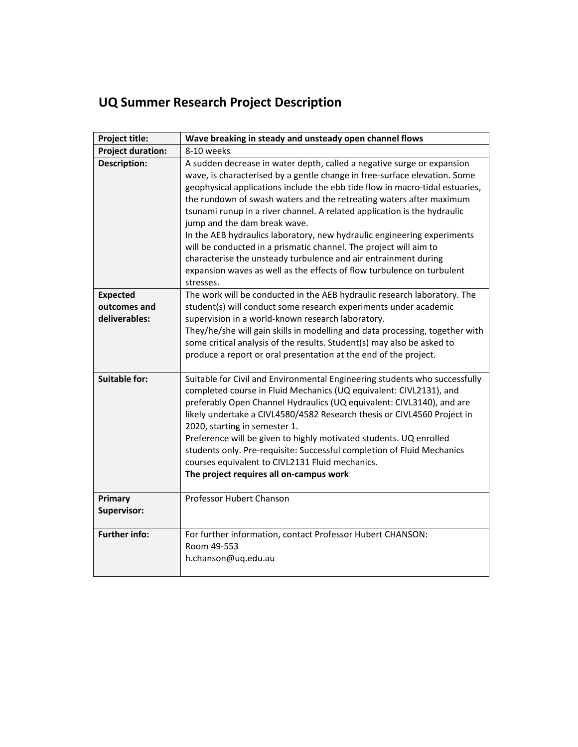| Project title:                                   | Wave breaking in steady and unsteady open channel flows                                                                                                                                                                                                                                                                                                                                                                                                                                                                                                                                                                                                                                                                          |
|--------------------------------------------------|----------------------------------------------------------------------------------------------------------------------------------------------------------------------------------------------------------------------------------------------------------------------------------------------------------------------------------------------------------------------------------------------------------------------------------------------------------------------------------------------------------------------------------------------------------------------------------------------------------------------------------------------------------------------------------------------------------------------------------|
| <b>Project duration:</b>                         | 8-10 weeks                                                                                                                                                                                                                                                                                                                                                                                                                                                                                                                                                                                                                                                                                                                       |
| <b>Description:</b>                              | A sudden decrease in water depth, called a negative surge or expansion<br>wave, is characterised by a gentle change in free-surface elevation. Some<br>geophysical applications include the ebb tide flow in macro-tidal estuaries,<br>the rundown of swash waters and the retreating waters after maximum<br>tsunami runup in a river channel. A related application is the hydraulic<br>jump and the dam break wave.<br>In the AEB hydraulics laboratory, new hydraulic engineering experiments<br>will be conducted in a prismatic channel. The project will aim to<br>characterise the unsteady turbulence and air entrainment during<br>expansion waves as well as the effects of flow turbulence on turbulent<br>stresses. |
| <b>Expected</b><br>outcomes and<br>deliverables: | The work will be conducted in the AEB hydraulic research laboratory. The<br>student(s) will conduct some research experiments under academic<br>supervision in a world-known research laboratory.<br>They/he/she will gain skills in modelling and data processing, together with<br>some critical analysis of the results. Student(s) may also be asked to<br>produce a report or oral presentation at the end of the project.                                                                                                                                                                                                                                                                                                  |
| <b>Suitable for:</b>                             | Suitable for Civil and Environmental Engineering students who successfully<br>completed course in Fluid Mechanics (UQ equivalent: CIVL2131), and<br>preferably Open Channel Hydraulics (UQ equivalent: CIVL3140), and are<br>likely undertake a CIVL4580/4582 Research thesis or CIVL4560 Project in<br>2020, starting in semester 1.<br>Preference will be given to highly motivated students. UQ enrolled<br>students only. Pre-requisite: Successful completion of Fluid Mechanics<br>courses equivalent to CIVL2131 Fluid mechanics.<br>The project requires all on-campus work                                                                                                                                              |
| Primary<br>Supervisor:                           | Professor Hubert Chanson                                                                                                                                                                                                                                                                                                                                                                                                                                                                                                                                                                                                                                                                                                         |
| <b>Further info:</b>                             | For further information, contact Professor Hubert CHANSON:<br>Room 49-553<br>h.chanson@uq.edu.au                                                                                                                                                                                                                                                                                                                                                                                                                                                                                                                                                                                                                                 |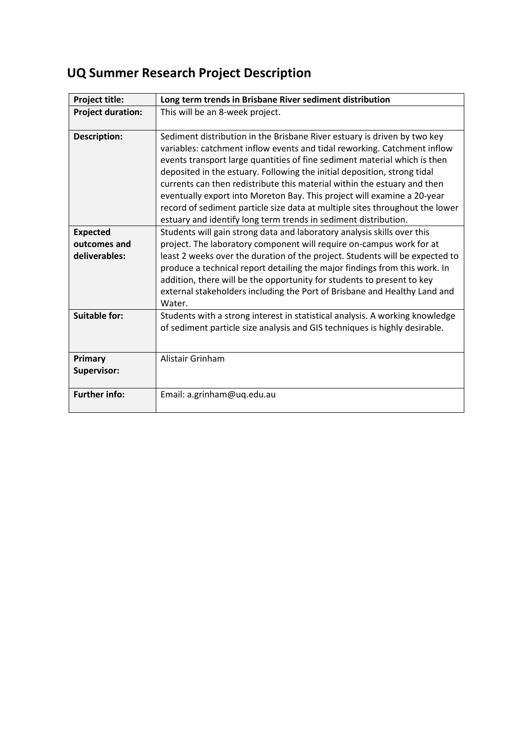| Project title:                                   | Long term trends in Brisbane River sediment distribution                                                                                                                                                                                                                                                                                                                                                                                                                                                                                                                                                                |
|--------------------------------------------------|-------------------------------------------------------------------------------------------------------------------------------------------------------------------------------------------------------------------------------------------------------------------------------------------------------------------------------------------------------------------------------------------------------------------------------------------------------------------------------------------------------------------------------------------------------------------------------------------------------------------------|
| <b>Project duration:</b>                         | This will be an 8-week project.                                                                                                                                                                                                                                                                                                                                                                                                                                                                                                                                                                                         |
| <b>Description:</b>                              | Sediment distribution in the Brisbane River estuary is driven by two key<br>variables: catchment inflow events and tidal reworking. Catchment inflow<br>events transport large quantities of fine sediment material which is then<br>deposited in the estuary. Following the initial deposition, strong tidal<br>currents can then redistribute this material within the estuary and then<br>eventually export into Moreton Bay. This project will examine a 20-year<br>record of sediment particle size data at multiple sites throughout the lower<br>estuary and identify long term trends in sediment distribution. |
| <b>Expected</b><br>outcomes and<br>deliverables: | Students will gain strong data and laboratory analysis skills over this<br>project. The laboratory component will require on-campus work for at<br>least 2 weeks over the duration of the project. Students will be expected to<br>produce a technical report detailing the major findings from this work. In<br>addition, there will be the opportunity for students to present to key<br>external stakeholders including the Port of Brisbane and Healthy Land and<br>Water.                                                                                                                                          |
| <b>Suitable for:</b>                             | Students with a strong interest in statistical analysis. A working knowledge<br>of sediment particle size analysis and GIS techniques is highly desirable.                                                                                                                                                                                                                                                                                                                                                                                                                                                              |
| Primary<br>Supervisor:                           | Alistair Grinham                                                                                                                                                                                                                                                                                                                                                                                                                                                                                                                                                                                                        |
| <b>Further info:</b>                             | Email: a.grinham@uq.edu.au                                                                                                                                                                                                                                                                                                                                                                                                                                                                                                                                                                                              |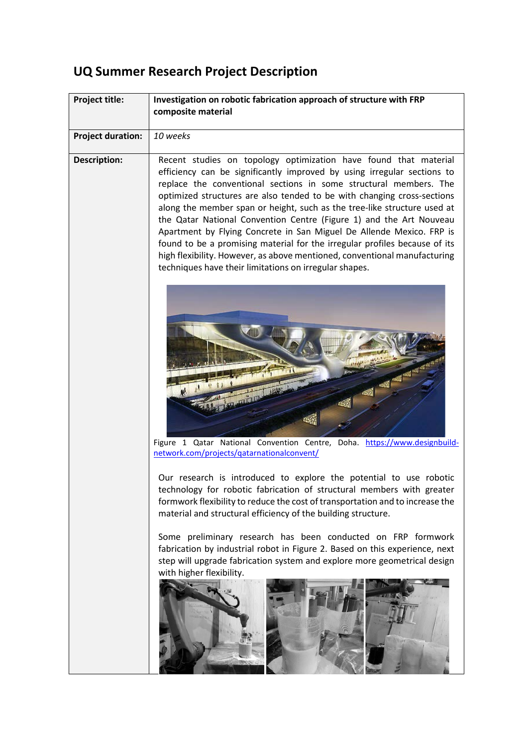| <b>Project title:</b>    | Investigation on robotic fabrication approach of structure with FRP           |
|--------------------------|-------------------------------------------------------------------------------|
|                          | composite material                                                            |
|                          |                                                                               |
| <b>Project duration:</b> | 10 weeks                                                                      |
| <b>Description:</b>      | Recent studies on topology optimization have found that material              |
|                          | efficiency can be significantly improved by using irregular sections to       |
|                          | replace the conventional sections in some structural members. The             |
|                          | optimized structures are also tended to be with changing cross-sections       |
|                          | along the member span or height, such as the tree-like structure used at      |
|                          | the Qatar National Convention Centre (Figure 1) and the Art Nouveau           |
|                          | Apartment by Flying Concrete in San Miguel De Allende Mexico. FRP is          |
|                          | found to be a promising material for the irregular profiles because of its    |
|                          | high flexibility. However, as above mentioned, conventional manufacturing     |
|                          | techniques have their limitations on irregular shapes.                        |
|                          |                                                                               |
|                          |                                                                               |
|                          |                                                                               |
|                          |                                                                               |
|                          |                                                                               |
|                          |                                                                               |
|                          |                                                                               |
|                          | <b>CASE CASE OF THE PAST OF THE PAST</b>                                      |
|                          |                                                                               |
|                          | 45                                                                            |
|                          |                                                                               |
|                          |                                                                               |
|                          | Figure 1 Qatar National Convention Centre, Doha. https://www.designbuild-     |
|                          | network.com/projects/gatarnationalconvent/                                    |
|                          | Our research is introduced to explore the potential to use robotic            |
|                          | technology for robotic fabrication of structural members with greater         |
|                          | formwork flexibility to reduce the cost of transportation and to increase the |
|                          | material and structural efficiency of the building structure.                 |
|                          |                                                                               |
|                          | Some preliminary research has been conducted on FRP formwork                  |
|                          | fabrication by industrial robot in Figure 2. Based on this experience, next   |
|                          | step will upgrade fabrication system and explore more geometrical design      |
|                          | with higher flexibility.                                                      |
|                          |                                                                               |
|                          |                                                                               |
|                          |                                                                               |
|                          |                                                                               |
|                          |                                                                               |
|                          |                                                                               |
|                          |                                                                               |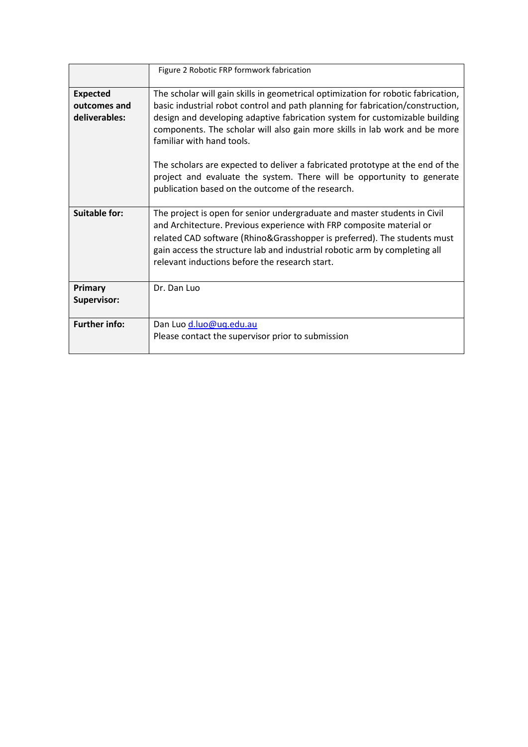|                                                  | Figure 2 Robotic FRP formwork fabrication                                                                                                                                                                                                                                                                                                                                                                                                      |
|--------------------------------------------------|------------------------------------------------------------------------------------------------------------------------------------------------------------------------------------------------------------------------------------------------------------------------------------------------------------------------------------------------------------------------------------------------------------------------------------------------|
| <b>Expected</b><br>outcomes and<br>deliverables: | The scholar will gain skills in geometrical optimization for robotic fabrication,<br>basic industrial robot control and path planning for fabrication/construction,<br>design and developing adaptive fabrication system for customizable building<br>components. The scholar will also gain more skills in lab work and be more<br>familiar with hand tools.<br>The scholars are expected to deliver a fabricated prototype at the end of the |
|                                                  | project and evaluate the system. There will be opportunity to generate<br>publication based on the outcome of the research.                                                                                                                                                                                                                                                                                                                    |
| <b>Suitable for:</b>                             | The project is open for senior undergraduate and master students in Civil<br>and Architecture. Previous experience with FRP composite material or<br>related CAD software (Rhino&Grasshopper is preferred). The students must<br>gain access the structure lab and industrial robotic arm by completing all<br>relevant inductions before the research start.                                                                                  |
| Primary<br><b>Supervisor:</b>                    | Dr. Dan Luo                                                                                                                                                                                                                                                                                                                                                                                                                                    |
| <b>Further info:</b>                             | Dan Luo d.luo@uq.edu.au<br>Please contact the supervisor prior to submission                                                                                                                                                                                                                                                                                                                                                                   |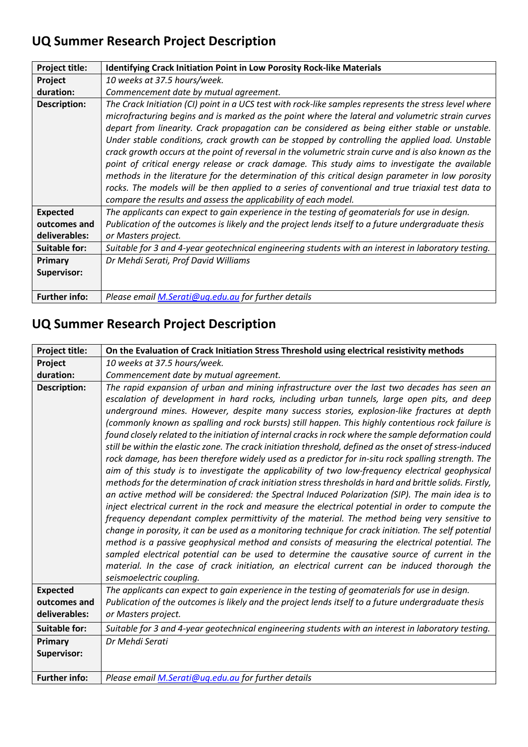| <b>Project title:</b> | <b>Identifying Crack Initiation Point in Low Porosity Rock-like Materials</b>                                                                                                                                                                                                                                                                                                                                                                                                                                                                                                                                                                                                                                                                                                                                                                                                                         |
|-----------------------|-------------------------------------------------------------------------------------------------------------------------------------------------------------------------------------------------------------------------------------------------------------------------------------------------------------------------------------------------------------------------------------------------------------------------------------------------------------------------------------------------------------------------------------------------------------------------------------------------------------------------------------------------------------------------------------------------------------------------------------------------------------------------------------------------------------------------------------------------------------------------------------------------------|
| Project               | 10 weeks at 37.5 hours/week.                                                                                                                                                                                                                                                                                                                                                                                                                                                                                                                                                                                                                                                                                                                                                                                                                                                                          |
| duration:             | Commencement date by mutual agreement.                                                                                                                                                                                                                                                                                                                                                                                                                                                                                                                                                                                                                                                                                                                                                                                                                                                                |
| <b>Description:</b>   | The Crack Initiation (CI) point in a UCS test with rock-like samples represents the stress level where<br>microfracturing begins and is marked as the point where the lateral and volumetric strain curves<br>depart from linearity. Crack propagation can be considered as being either stable or unstable.<br>Under stable conditions, crack growth can be stopped by controlling the applied load. Unstable<br>crack growth occurs at the point of reversal in the volumetric strain curve and is also known as the<br>point of critical energy release or crack damage. This study aims to investigate the available<br>methods in the literature for the determination of this critical design parameter in low porosity<br>rocks. The models will be then applied to a series of conventional and true triaxial test data to<br>compare the results and assess the applicability of each model. |
| <b>Expected</b>       | The applicants can expect to gain experience in the testing of geomaterials for use in design.                                                                                                                                                                                                                                                                                                                                                                                                                                                                                                                                                                                                                                                                                                                                                                                                        |
| outcomes and          | Publication of the outcomes is likely and the project lends itself to a future undergraduate thesis                                                                                                                                                                                                                                                                                                                                                                                                                                                                                                                                                                                                                                                                                                                                                                                                   |
| deliverables:         | or Masters project.                                                                                                                                                                                                                                                                                                                                                                                                                                                                                                                                                                                                                                                                                                                                                                                                                                                                                   |
| <b>Suitable for:</b>  | Suitable for 3 and 4-year geotechnical engineering students with an interest in laboratory testing.                                                                                                                                                                                                                                                                                                                                                                                                                                                                                                                                                                                                                                                                                                                                                                                                   |
| Primary               | Dr Mehdi Serati, Prof David Williams                                                                                                                                                                                                                                                                                                                                                                                                                                                                                                                                                                                                                                                                                                                                                                                                                                                                  |
| <b>Supervisor:</b>    |                                                                                                                                                                                                                                                                                                                                                                                                                                                                                                                                                                                                                                                                                                                                                                                                                                                                                                       |
| <b>Further info:</b>  | Please email M.Serati@uq.edu.au for further details                                                                                                                                                                                                                                                                                                                                                                                                                                                                                                                                                                                                                                                                                                                                                                                                                                                   |

| Project title:       | On the Evaluation of Crack Initiation Stress Threshold using electrical resistivity methods                                                                                                                                                                                                                                                                                                                                                                                                                                                                                                                                                                                                                                                                                                                                                                                                                                                                                                                                                                                                                                                                                                                                                                                                                                                                                                                                                                                                                                                                                                                                                                                                    |
|----------------------|------------------------------------------------------------------------------------------------------------------------------------------------------------------------------------------------------------------------------------------------------------------------------------------------------------------------------------------------------------------------------------------------------------------------------------------------------------------------------------------------------------------------------------------------------------------------------------------------------------------------------------------------------------------------------------------------------------------------------------------------------------------------------------------------------------------------------------------------------------------------------------------------------------------------------------------------------------------------------------------------------------------------------------------------------------------------------------------------------------------------------------------------------------------------------------------------------------------------------------------------------------------------------------------------------------------------------------------------------------------------------------------------------------------------------------------------------------------------------------------------------------------------------------------------------------------------------------------------------------------------------------------------------------------------------------------------|
| Project              | 10 weeks at 37.5 hours/week.                                                                                                                                                                                                                                                                                                                                                                                                                                                                                                                                                                                                                                                                                                                                                                                                                                                                                                                                                                                                                                                                                                                                                                                                                                                                                                                                                                                                                                                                                                                                                                                                                                                                   |
| duration:            | Commencement date by mutual agreement.                                                                                                                                                                                                                                                                                                                                                                                                                                                                                                                                                                                                                                                                                                                                                                                                                                                                                                                                                                                                                                                                                                                                                                                                                                                                                                                                                                                                                                                                                                                                                                                                                                                         |
| <b>Description:</b>  | The rapid expansion of urban and mining infrastructure over the last two decades has seen an<br>escalation of development in hard rocks, including urban tunnels, large open pits, and deep<br>underground mines. However, despite many success stories, explosion-like fractures at depth<br>(commonly known as spalling and rock bursts) still happen. This highly contentious rock failure is<br>found closely related to the initiation of internal cracks in rock where the sample deformation could<br>still be within the elastic zone. The crack initiation threshold, defined as the onset of stress-induced<br>rock damage, has been therefore widely used as a predictor for in-situ rock spalling strength. The<br>aim of this study is to investigate the applicability of two low-frequency electrical geophysical<br>methods for the determination of crack initiation stress thresholds in hard and brittle solids. Firstly,<br>an active method will be considered: the Spectral Induced Polarization (SIP). The main idea is to<br>inject electrical current in the rock and measure the electrical potential in order to compute the<br>frequency dependant complex permittivity of the material. The method being very sensitive to<br>change in porosity, it can be used as a monitoring technique for crack initiation. The self potential<br>method is a passive geophysical method and consists of measuring the electrical potential. The<br>sampled electrical potential can be used to determine the causative source of current in the<br>material. In the case of crack initiation, an electrical current can be induced thorough the<br>seismoelectric coupling. |
| <b>Expected</b>      | The applicants can expect to gain experience in the testing of geomaterials for use in design.                                                                                                                                                                                                                                                                                                                                                                                                                                                                                                                                                                                                                                                                                                                                                                                                                                                                                                                                                                                                                                                                                                                                                                                                                                                                                                                                                                                                                                                                                                                                                                                                 |
| outcomes and         | Publication of the outcomes is likely and the project lends itself to a future undergraduate thesis                                                                                                                                                                                                                                                                                                                                                                                                                                                                                                                                                                                                                                                                                                                                                                                                                                                                                                                                                                                                                                                                                                                                                                                                                                                                                                                                                                                                                                                                                                                                                                                            |
| deliverables:        | or Masters project.                                                                                                                                                                                                                                                                                                                                                                                                                                                                                                                                                                                                                                                                                                                                                                                                                                                                                                                                                                                                                                                                                                                                                                                                                                                                                                                                                                                                                                                                                                                                                                                                                                                                            |
| <b>Suitable for:</b> | Suitable for 3 and 4-year geotechnical engineering students with an interest in laboratory testing.                                                                                                                                                                                                                                                                                                                                                                                                                                                                                                                                                                                                                                                                                                                                                                                                                                                                                                                                                                                                                                                                                                                                                                                                                                                                                                                                                                                                                                                                                                                                                                                            |
| Primary              | Dr Mehdi Serati                                                                                                                                                                                                                                                                                                                                                                                                                                                                                                                                                                                                                                                                                                                                                                                                                                                                                                                                                                                                                                                                                                                                                                                                                                                                                                                                                                                                                                                                                                                                                                                                                                                                                |
| <b>Supervisor:</b>   |                                                                                                                                                                                                                                                                                                                                                                                                                                                                                                                                                                                                                                                                                                                                                                                                                                                                                                                                                                                                                                                                                                                                                                                                                                                                                                                                                                                                                                                                                                                                                                                                                                                                                                |
| <b>Further info:</b> | Please email M.Serati@uq.edu.au for further details                                                                                                                                                                                                                                                                                                                                                                                                                                                                                                                                                                                                                                                                                                                                                                                                                                                                                                                                                                                                                                                                                                                                                                                                                                                                                                                                                                                                                                                                                                                                                                                                                                            |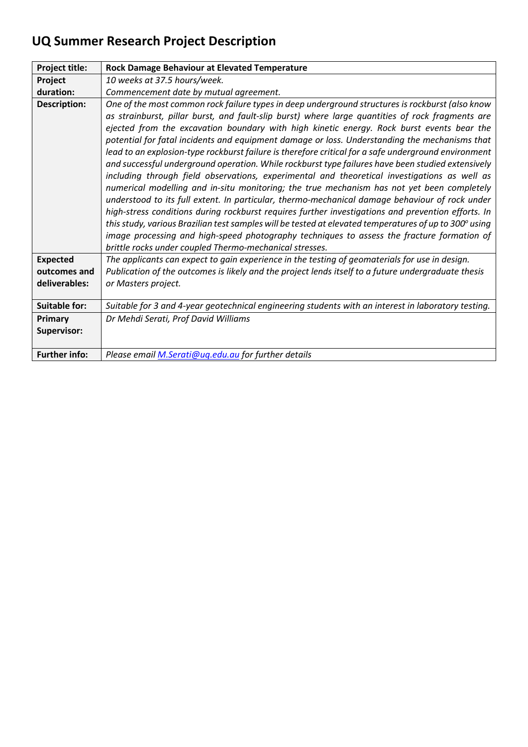| Project title:       | Rock Damage Behaviour at Elevated Temperature                                                                                                                                                                                                                                                                                                                                                                                                                                                                                                                                                                                                                                                                                                                                                                                                                                                                                                                                                                                                                                                                                                                                                                                                                                            |
|----------------------|------------------------------------------------------------------------------------------------------------------------------------------------------------------------------------------------------------------------------------------------------------------------------------------------------------------------------------------------------------------------------------------------------------------------------------------------------------------------------------------------------------------------------------------------------------------------------------------------------------------------------------------------------------------------------------------------------------------------------------------------------------------------------------------------------------------------------------------------------------------------------------------------------------------------------------------------------------------------------------------------------------------------------------------------------------------------------------------------------------------------------------------------------------------------------------------------------------------------------------------------------------------------------------------|
| Project              | 10 weeks at 37.5 hours/week.                                                                                                                                                                                                                                                                                                                                                                                                                                                                                                                                                                                                                                                                                                                                                                                                                                                                                                                                                                                                                                                                                                                                                                                                                                                             |
| duration:            | Commencement date by mutual agreement.                                                                                                                                                                                                                                                                                                                                                                                                                                                                                                                                                                                                                                                                                                                                                                                                                                                                                                                                                                                                                                                                                                                                                                                                                                                   |
| <b>Description:</b>  | One of the most common rock failure types in deep underground structures is rockburst (also know<br>as strainburst, pillar burst, and fault-slip burst) where large quantities of rock fragments are<br>ejected from the excavation boundary with high kinetic energy. Rock burst events bear the<br>potential for fatal incidents and equipment damage or loss. Understanding the mechanisms that<br>lead to an explosion-type rockburst failure is therefore critical for a safe underground environment<br>and successful underground operation. While rockburst type failures have been studied extensively<br>including through field observations, experimental and theoretical investigations as well as<br>numerical modelling and in-situ monitoring; the true mechanism has not yet been completely<br>understood to its full extent. In particular, thermo-mechanical damage behaviour of rock under<br>high-stress conditions during rockburst requires further investigations and prevention efforts. In<br>this study, various Brazilian test samples will be tested at elevated temperatures of up to 300° using<br>image processing and high-speed photography techniques to assess the fracture formation of<br>brittle rocks under coupled Thermo-mechanical stresses. |
| <b>Expected</b>      | The applicants can expect to gain experience in the testing of geomaterials for use in design.                                                                                                                                                                                                                                                                                                                                                                                                                                                                                                                                                                                                                                                                                                                                                                                                                                                                                                                                                                                                                                                                                                                                                                                           |
| outcomes and         | Publication of the outcomes is likely and the project lends itself to a future undergraduate thesis                                                                                                                                                                                                                                                                                                                                                                                                                                                                                                                                                                                                                                                                                                                                                                                                                                                                                                                                                                                                                                                                                                                                                                                      |
| deliverables:        | or Masters project.                                                                                                                                                                                                                                                                                                                                                                                                                                                                                                                                                                                                                                                                                                                                                                                                                                                                                                                                                                                                                                                                                                                                                                                                                                                                      |
| <b>Suitable for:</b> | Suitable for 3 and 4-year geotechnical engineering students with an interest in laboratory testing.                                                                                                                                                                                                                                                                                                                                                                                                                                                                                                                                                                                                                                                                                                                                                                                                                                                                                                                                                                                                                                                                                                                                                                                      |
| Primary              | Dr Mehdi Serati, Prof David Williams                                                                                                                                                                                                                                                                                                                                                                                                                                                                                                                                                                                                                                                                                                                                                                                                                                                                                                                                                                                                                                                                                                                                                                                                                                                     |
| <b>Supervisor:</b>   |                                                                                                                                                                                                                                                                                                                                                                                                                                                                                                                                                                                                                                                                                                                                                                                                                                                                                                                                                                                                                                                                                                                                                                                                                                                                                          |
| <b>Further info:</b> | Please email M.Serati@uq.edu.au for further details                                                                                                                                                                                                                                                                                                                                                                                                                                                                                                                                                                                                                                                                                                                                                                                                                                                                                                                                                                                                                                                                                                                                                                                                                                      |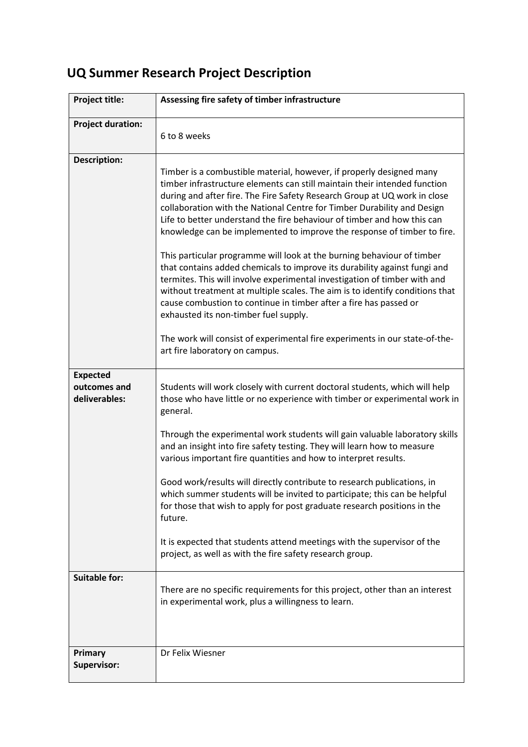| Project title:                                   | Assessing fire safety of timber infrastructure                                                                                                                                                                                                                                                                                                                                                                                                                                                                                                                                                                                                                                                                                                                                                                                                                                                    |
|--------------------------------------------------|---------------------------------------------------------------------------------------------------------------------------------------------------------------------------------------------------------------------------------------------------------------------------------------------------------------------------------------------------------------------------------------------------------------------------------------------------------------------------------------------------------------------------------------------------------------------------------------------------------------------------------------------------------------------------------------------------------------------------------------------------------------------------------------------------------------------------------------------------------------------------------------------------|
| <b>Project duration:</b>                         | 6 to 8 weeks                                                                                                                                                                                                                                                                                                                                                                                                                                                                                                                                                                                                                                                                                                                                                                                                                                                                                      |
| <b>Description:</b>                              | Timber is a combustible material, however, if properly designed many<br>timber infrastructure elements can still maintain their intended function<br>during and after fire. The Fire Safety Research Group at UQ work in close<br>collaboration with the National Centre for Timber Durability and Design<br>Life to better understand the fire behaviour of timber and how this can<br>knowledge can be implemented to improve the response of timber to fire.<br>This particular programme will look at the burning behaviour of timber<br>that contains added chemicals to improve its durability against fungi and<br>termites. This will involve experimental investigation of timber with and<br>without treatment at multiple scales. The aim is to identify conditions that<br>cause combustion to continue in timber after a fire has passed or<br>exhausted its non-timber fuel supply. |
|                                                  | The work will consist of experimental fire experiments in our state-of-the-<br>art fire laboratory on campus.                                                                                                                                                                                                                                                                                                                                                                                                                                                                                                                                                                                                                                                                                                                                                                                     |
| <b>Expected</b><br>outcomes and<br>deliverables: | Students will work closely with current doctoral students, which will help<br>those who have little or no experience with timber or experimental work in<br>general.                                                                                                                                                                                                                                                                                                                                                                                                                                                                                                                                                                                                                                                                                                                              |
|                                                  | Through the experimental work students will gain valuable laboratory skills<br>and an insight into fire safety testing. They will learn how to measure<br>various important fire quantities and how to interpret results.                                                                                                                                                                                                                                                                                                                                                                                                                                                                                                                                                                                                                                                                         |
|                                                  | Good work/results will directly contribute to research publications, in<br>which summer students will be invited to participate; this can be helpful<br>for those that wish to apply for post graduate research positions in the<br>future.                                                                                                                                                                                                                                                                                                                                                                                                                                                                                                                                                                                                                                                       |
|                                                  | It is expected that students attend meetings with the supervisor of the<br>project, as well as with the fire safety research group.                                                                                                                                                                                                                                                                                                                                                                                                                                                                                                                                                                                                                                                                                                                                                               |
| <b>Suitable for:</b>                             | There are no specific requirements for this project, other than an interest<br>in experimental work, plus a willingness to learn.                                                                                                                                                                                                                                                                                                                                                                                                                                                                                                                                                                                                                                                                                                                                                                 |
| Primary<br><b>Supervisor:</b>                    | Dr Felix Wiesner                                                                                                                                                                                                                                                                                                                                                                                                                                                                                                                                                                                                                                                                                                                                                                                                                                                                                  |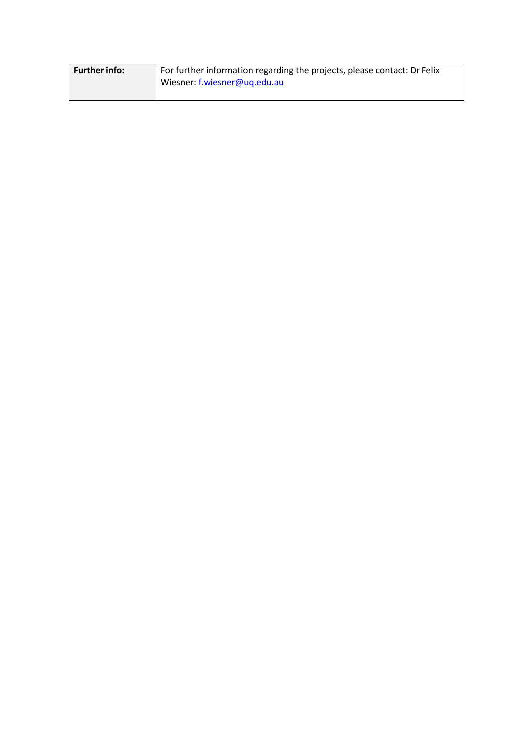| <b>Further info:</b> | For further information regarding the projects, please contact: Dr Felix |
|----------------------|--------------------------------------------------------------------------|
|                      | Wiesner: f.wiesner@ug.edu.au                                             |
|                      |                                                                          |